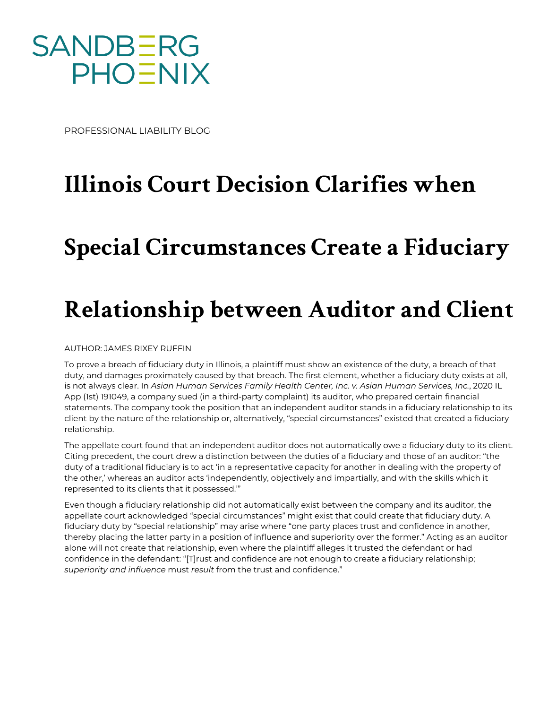

PROFESSIONAL LIABILITY BLOG

## **Illinois Court Decision Clarifies when**

## **Special Circumstances Create a Fiduciary**

## **Relationship between Auditor and Client**

AUTHOR: JAMES RIXEY RUFFIN

To prove a breach of fiduciary duty in Illinois, a plaintiff must show an existence of the duty, a breach of that duty, and damages proximately caused by that breach. The first element, whether a fiduciary duty exists at all, is not always clear. In *Asian Human Services Family Health Center, Inc. v. Asian Human Services, Inc.*, 2020 IL App (1st) 191049, a company sued (in a third-party complaint) its auditor, who prepared certain financial statements. The company took the position that an independent auditor stands in a fiduciary relationship to its client by the nature of the relationship or, alternatively, "special circumstances" existed that created a fiduciary relationship.

The appellate court found that an independent auditor does not automatically owe a fiduciary duty to its client. Citing precedent, the court drew a distinction between the duties of a fiduciary and those of an auditor: "the duty of a traditional fiduciary is to act 'in a representative capacity for another in dealing with the property of the other,' whereas an auditor acts 'independently, objectively and impartially, and with the skills which it represented to its clients that it possessed.'"

Even though a fiduciary relationship did not automatically exist between the company and its auditor, the appellate court acknowledged "special circumstances" might exist that could create that fiduciary duty. A fiduciary duty by "special relationship" may arise where "one party places trust and confidence in another, thereby placing the latter party in a position of influence and superiority over the former." Acting as an auditor alone will not create that relationship, even where the plaintiff alleges it trusted the defendant or had confidence in the defendant: "[T]rust and confidence are not enough to create a fiduciary relationship; *superiority and influence* must *result* from the trust and confidence."